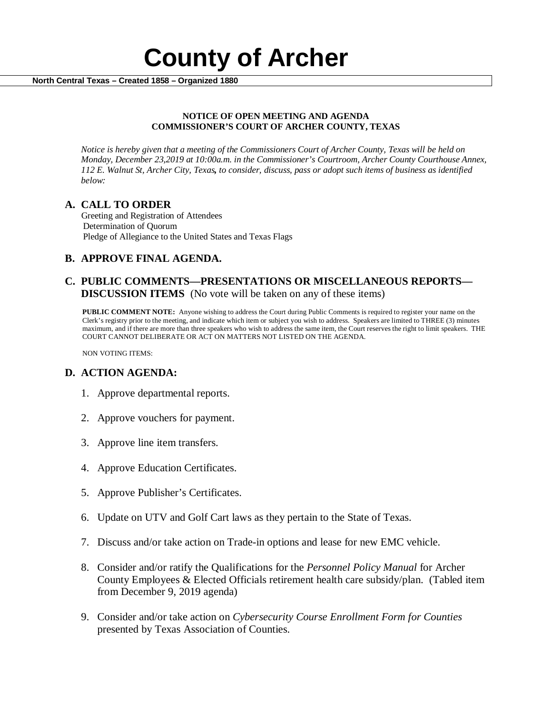

### **NOTICE OF OPEN MEETING AND AGENDA COMMISSIONER'S COURT OF ARCHER COUNTY, TEXAS**

*Notice is hereby given that a meeting of the Commissioners Court of Archer County, Texas will be held on Monday, December 23,2019 at 10:00a.m. in the Commissioner's Courtroom, Archer County Courthouse Annex, 112 E. Walnut St, Archer City, Texas, to consider, discuss, pass or adopt such items of business as identified below:*

**A. CALL TO ORDER** Greeting and Registration of Attendees Determination of Quorum Pledge of Allegiance to the United States and Texas Flags

# **B. APPROVE FINAL AGENDA.**

# **C. PUBLIC COMMENTS—PRESENTATIONS OR MISCELLANEOUS REPORTS— DISCUSSION ITEMS** (No vote will be taken on any of these items)

**PUBLIC COMMENT NOTE:** Anyone wishing to address the Court during Public Comments is required to register your name on the Clerk's registry prior to the meeting, and indicate which item or subject you wish to address. Speakers are limited to THREE (3) minutes maximum, and if there are more than three speakers who wish to address the same item, the Court reserves the right to limit speakers. THE COURT CANNOT DELIBERATE OR ACT ON MATTERS NOT LISTED ON THE AGENDA.

NON VOTING ITEMS:

# **D. ACTION AGENDA:**

- 1. Approve departmental reports.
- 2. Approve vouchers for payment.
- 3. Approve line item transfers.
- 4. Approve Education Certificates.
- 5. Approve Publisher's Certificates.
- 6. Update on UTV and Golf Cart laws as they pertain to the State of Texas.
- 7. Discuss and/or take action on Trade-in options and lease for new EMC vehicle.
- 8. Consider and/or ratify the Qualifications for the *Personnel Policy Manual* for Archer County Employees & Elected Officials retirement health care subsidy/plan. (Tabled item from December 9, 2019 agenda)
- 9. Consider and/or take action on *Cybersecurity Course Enrollment Form for Counties*  presented by Texas Association of Counties.